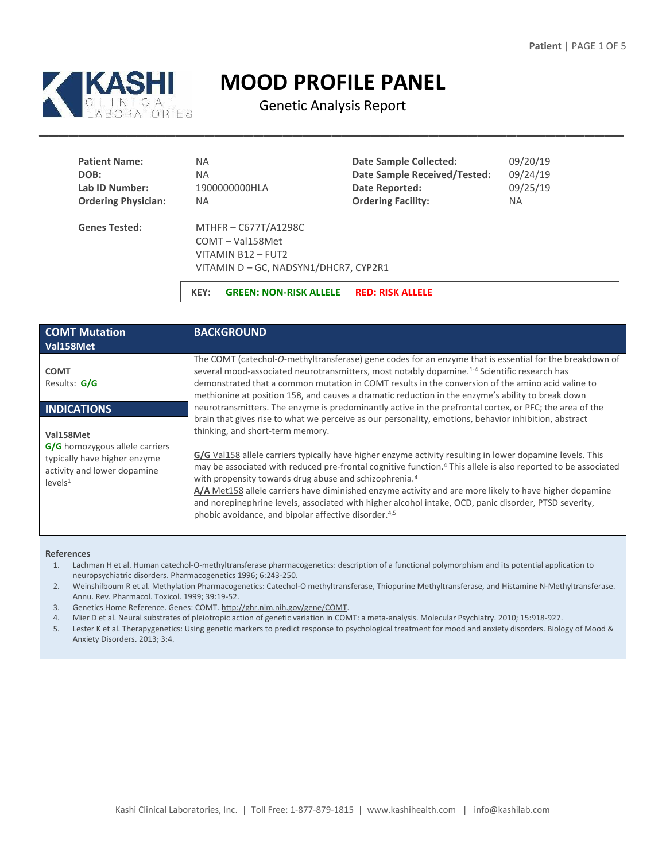

# **MOOD PROFILE PANEL**

Genetic Analysis Report

| <b>Patient Name:</b>       | NA.                                                                                                 | <b>Date Sample Collected:</b>       | 09/20/19  |
|----------------------------|-----------------------------------------------------------------------------------------------------|-------------------------------------|-----------|
| DOB:                       | NA.                                                                                                 | <b>Date Sample Received/Tested:</b> | 09/24/19  |
| Lab ID Number:             | 1900000000HLA                                                                                       | Date Reported:                      | 09/25/19  |
| <b>Ordering Physician:</b> | NA.                                                                                                 | <b>Ordering Facility:</b>           | <b>NA</b> |
| <b>Genes Tested:</b>       | MTHFR-C677T/A1298C<br>COMT-Val158Met<br>VITAMIN B12 - FUT2<br>VITAMIN D - GC, NADSYN1/DHCR7, CYP2R1 |                                     |           |

**KEY: GREEN: NON-RISK ALLELE RED: RISK ALLELE**

| <b>COMT Mutation</b><br>Val158Met                                                                                                 | <b>BACKGROUND</b>                                                                                                                                                                                                                                                                                                                                                                                                                                                                                                                                                                                                                                                                                                                                |  |
|-----------------------------------------------------------------------------------------------------------------------------------|--------------------------------------------------------------------------------------------------------------------------------------------------------------------------------------------------------------------------------------------------------------------------------------------------------------------------------------------------------------------------------------------------------------------------------------------------------------------------------------------------------------------------------------------------------------------------------------------------------------------------------------------------------------------------------------------------------------------------------------------------|--|
| <b>COMT</b><br>Results: G/G                                                                                                       | The COMT (catechol-O-methyltransferase) gene codes for an enzyme that is essential for the breakdown of<br>several mood-associated neurotransmitters, most notably dopamine. <sup>1-4</sup> Scientific research has<br>demonstrated that a common mutation in COMT results in the conversion of the amino acid valine to<br>methionine at position 158, and causes a dramatic reduction in the enzyme's ability to break down                                                                                                                                                                                                                                                                                                                    |  |
| <b>INDICATIONS</b>                                                                                                                | neurotransmitters. The enzyme is predominantly active in the prefrontal cortex, or PFC; the area of the                                                                                                                                                                                                                                                                                                                                                                                                                                                                                                                                                                                                                                          |  |
| Val158Met<br>G/G homozygous allele carriers<br>typically have higher enzyme<br>activity and lower dopamine<br>levels <sup>1</sup> | brain that gives rise to what we perceive as our personality, emotions, behavior inhibition, abstract<br>thinking, and short-term memory.<br>G/G Val158 allele carriers typically have higher enzyme activity resulting in lower dopamine levels. This<br>may be associated with reduced pre-frontal cognitive function. <sup>4</sup> This allele is also reported to be associated<br>with propensity towards drug abuse and schizophrenia. <sup>4</sup><br>A/A Met158 allele carriers have diminished enzyme activity and are more likely to have higher dopamine<br>and norepinephrine levels, associated with higher alcohol intake, OCD, panic disorder, PTSD severity,<br>phobic avoidance, and bipolar affective disorder. <sup>4,5</sup> |  |

#### **References**

- 1. Lachman H et al. Human catechol-O-methyltransferase pharmacogenetics: description of a functional polymorphism and its potential application to neuropsychiatric disorders. Pharmacogenetics 1996; 6:243-250.
- 2. Weinshilboum R et al. Methylation Pharmacogenetics: Catechol-O methyltransferase, Thiopurine Methyltransferase, and Histamine N-Methyltransferase. Annu. Rev. Pharmacol. Toxicol. 1999; 39:19-52.
- 3. Genetics Home Reference. Genes: COMT[. http://ghr.nlm.nih.gov/gene/COMT.](http://ghr.nlm.nih.gov/gene/COMT)
- 4. Mier D et al. Neural substrates of pleiotropic action of genetic variation in COMT: a meta-analysis. Molecular Psychiatry. 2010; 15:918-927.
- 5. Lester K et al. Therapygenetics: Using genetic markers to predict response to psychological treatment for mood and anxiety disorders. Biology of Mood & Anxiety Disorders. 2013; 3:4.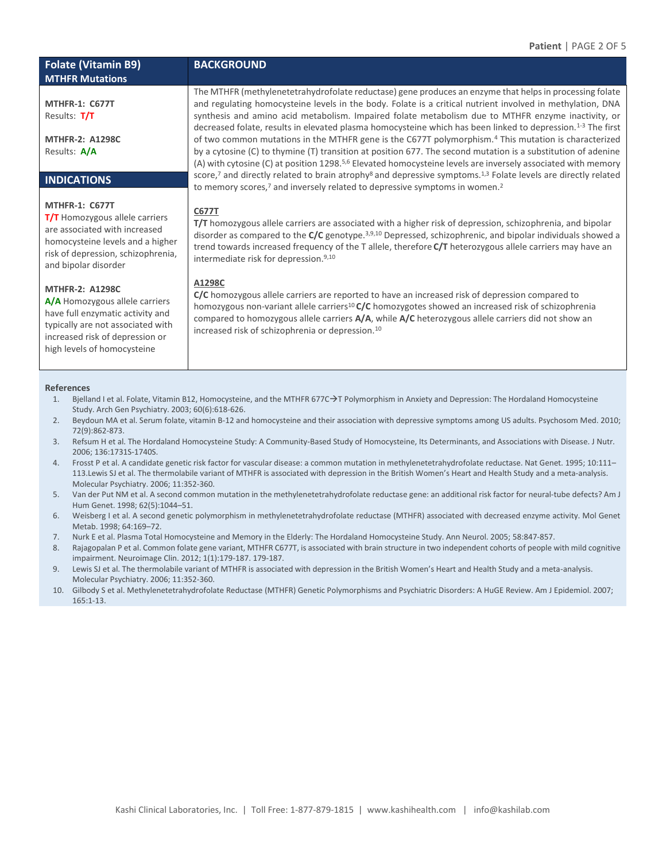# **Folate (Vitamin B9) MTHFR Mutations**

# **MTHFR-1: C677T**  Results: **T/T**

**MTHFR-2: A1298C** Results: **A/A**

# **INDICATIONS**

## **MTHFR-1: C677T**

**T/T** Homozygous allele carriers are associated with increased homocysteine levels and a higher risk of depression, schizophrenia, and bipolar disorder

## **MTHFR-2: A1298C**

**A/A** Homozygous allele carriers have full enzymatic activity and typically are not associated with increased risk of depression or high levels of homocysteine

#### **References**

- 1. Bjelland I et al. Folate, Vitamin B12, Homocysteine, and the MTHFR 677C->T Polymorphism in Anxiety and Depression: The Hordaland Homocysteine Study. Arch Gen Psychiatry. 2003; 60(6):618-626.
- 2. Beydoun MA et al. Serum folate, vitamin B-12 and homocysteine and their association with depressive symptoms among US adults. Psychosom Med. 2010; 72(9):862-873.
- 3. Refsum H et al. The Hordaland Homocysteine Study: A Community-Based Study of Homocysteine, Its Determinants, and Associations with Disease. J Nutr. 2006; 136:1731S-1740S.
- 4. Frosst P et al. A candidate genetic risk factor for vascular disease: a common mutation in methylenetetrahydrofolate reductase. Nat Genet. 1995; 10:111– 113.Lewis SJ et al. The thermolabile variant of MTHFR is associated with depression in the British Women's Heart and Health Study and a meta-analysis. Molecular Psychiatry. 2006; 11:352-360.
- 5. Van der Put NM et al. A second common mutation in the methylenetetrahydrofolate reductase gene: an additional risk factor for neural-tube defects? Am J Hum Genet. 1998; 62(5):1044–51.
- 6. Weisberg I et al. A second genetic polymorphism in methylenetetrahydrofolate reductase (MTHFR) associated with decreased enzyme activity. Mol Genet Metab. 1998; 64:169–72.
- 7. Nurk E et al. Plasma Total Homocysteine and Memory in the Elderly: The Hordaland Homocysteine Study. Ann Neurol. 2005; 58:847-857.
- 8. Rajagopalan P et al. Common folate gene variant, MTHFR C677T, is associated with brain structure in two independent cohorts of people with mild cognitive impairment. Neuroimage Clin. 2012; 1(1):179-187. 179-187.
- 9. Lewis SJ et al. The thermolabile variant of MTHFR is associated with depression in the British Women's Heart and Health Study and a meta-analysis. Molecular Psychiatry. 2006; 11:352-360.
- 10. Gilbody S et al. Methylenetetrahydrofolate Reductase (MTHFR) Genetic Polymorphisms and Psychiatric Disorders: A HuGE Review. Am J Epidemiol. 2007; 165:1-13.

**BACKGROUND** 

synthesis and amino acid metabolism. Impaired folate metabolism due to MTHFR enzyme inactivity, or decreased folate, results in elevated plasma homocysteine which has been linked to depression.1-3 The first of two common mutations in the MTHFR gene is the C677T polymorphism.<sup>4</sup> This mutation is characterized by a cytosine (C) to thymine (T) transition at position 677. The second mutation is a substitution of adenine (A) with cytosine (C) at position 1298.<sup>5,6</sup> Elevated homocysteine levels are inversely associated with memory score,<sup>7</sup> and directly related to brain atrophy<sup>8</sup> and depressive symptoms.<sup>1,3</sup> Folate levels are directly related to memory scores,<sup>7</sup> and inversely related to depressive symptoms in women.<sup>2</sup>

The MTHFR (methylenetetrahydrofolate reductase) gene produces an enzyme that helps in processing folate and regulating homocysteine levels in the body. Folate is a critical nutrient involved in methylation, DNA

## **C677T**

**T/T** homozygous allele carriers are associated with a higher risk of depression, schizophrenia, and bipolar disorder as compared to the **C/C** genotype.3,9,10 Depressed, schizophrenic, and bipolar individuals showed a trend towards increased frequency of the T allele, therefore **C/T** heterozygous allele carriers may have an intermediate risk for depression.9,10

## **A1298C**

**C/C** homozygous allele carriers are reported to have an increased risk of depression compared to homozygous non-variant allele carriers<sup>10</sup> **C/C** homozygotes showed an increased risk of schizophrenia compared to homozygous allele carriers **A/A**, while **A/C** heterozygous allele carriers did not show an increased risk of schizophrenia or depression.<sup>10</sup>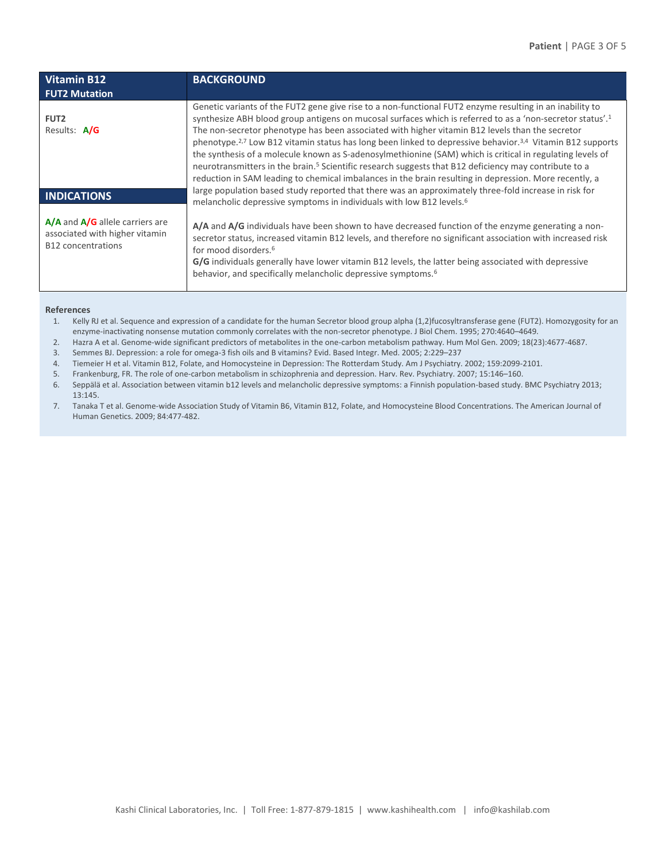| <b>Vitamin B12</b><br><b>FUT2 Mutation</b>                                                         | <b>BACKGROUND</b>                                                                                                                                                                                                                                                                                                                                                                                                                                                                                                                                                                                                                                                                                                                                                                                                     |
|----------------------------------------------------------------------------------------------------|-----------------------------------------------------------------------------------------------------------------------------------------------------------------------------------------------------------------------------------------------------------------------------------------------------------------------------------------------------------------------------------------------------------------------------------------------------------------------------------------------------------------------------------------------------------------------------------------------------------------------------------------------------------------------------------------------------------------------------------------------------------------------------------------------------------------------|
| FUT <sub>2</sub><br>Results: A/G                                                                   | Genetic variants of the FUT2 gene give rise to a non-functional FUT2 enzyme resulting in an inability to<br>synthesize ABH blood group antigens on mucosal surfaces which is referred to as a 'non-secretor status'. <sup>1</sup><br>The non-secretor phenotype has been associated with higher vitamin B12 levels than the secretor<br>phenotype. <sup>2,7</sup> Low B12 vitamin status has long been linked to depressive behavior. <sup>3,4</sup> Vitamin B12 supports<br>the synthesis of a molecule known as S-adenosylmethionine (SAM) which is critical in regulating levels of<br>neurotransmitters in the brain. <sup>5</sup> Scientific research suggests that B12 deficiency may contribute to a<br>reduction in SAM leading to chemical imbalances in the brain resulting in depression. More recently, a |
| <b>INDICATIONS</b>                                                                                 | large population based study reported that there was an approximately three-fold increase in risk for<br>melancholic depressive symptoms in individuals with low B12 levels. <sup>6</sup>                                                                                                                                                                                                                                                                                                                                                                                                                                                                                                                                                                                                                             |
| $A/A$ and $A/G$ allele carriers are<br>associated with higher vitamin<br><b>B12</b> concentrations | A/A and A/G individuals have been shown to have decreased function of the enzyme generating a non-<br>secretor status, increased vitamin B12 levels, and therefore no significant association with increased risk<br>for mood disorders. <sup>6</sup><br>G/G individuals generally have lower vitamin B12 levels, the latter being associated with depressive<br>behavior, and specifically melancholic depressive symptoms. <sup>6</sup>                                                                                                                                                                                                                                                                                                                                                                             |

#### **References**

- 1. Kelly RJ et al. Sequence and expression of a candidate for the human Secretor blood group alpha (1,2)fucosyltransferase gene (FUT2). Homozygosity for an enzyme-inactivating nonsense mutation commonly correlates with the non-secretor phenotype. J Biol Chem. 1995; 270:4640–4649.
- 2. Hazra A et al. Genome-wide significant predictors of metabolites in the one-carbon metabolism pathway. Hum Mol Gen. 2009; 18(23):4677-4687.
- 3. Semmes BJ. Depression: a role for omega-3 fish oils and B vitamins? Evid. Based Integr. Med. 2005; 2:229–237
- 4. Tiemeier H et al. Vitamin B12, Folate, and Homocysteine in Depression: The Rotterdam Study. Am J Psychiatry. 2002; 159:2099-2101.
- 5. Frankenburg, FR. The role of one-carbon metabolism in schizophrenia and depression. Harv. Rev. Psychiatry. 2007; 15:146–160.
- 6. Seppälä et al. Association between vitamin b12 levels and melancholic depressive symptoms: a Finnish population-based study. BMC Psychiatry 2013; 13:145.
- 7. Tanaka T et al. Genome-wide Association Study of Vitamin B6, Vitamin B12, Folate, and Homocysteine Blood Concentrations. The American Journal of Human Genetics. 2009; 84:477-482.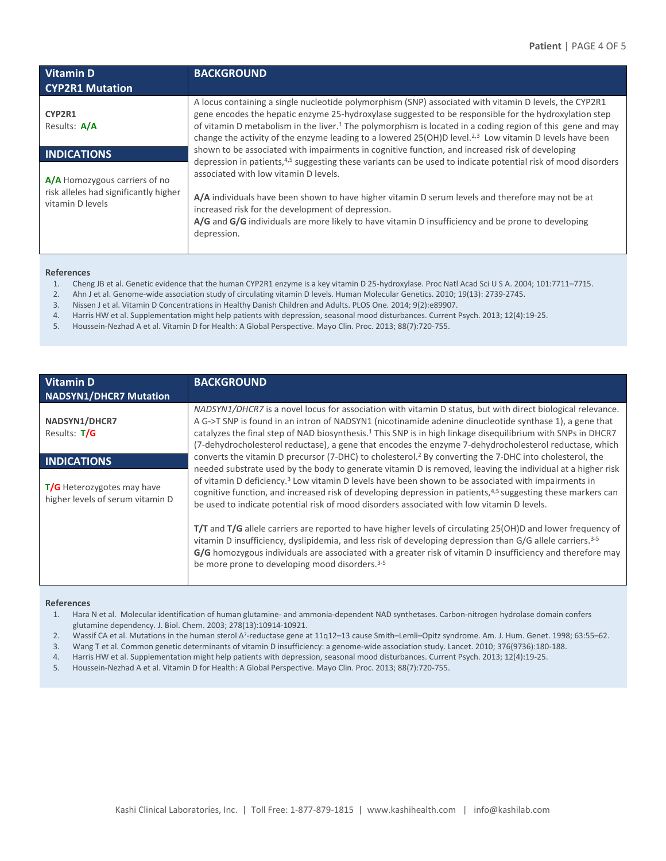| <b>Vitamin D</b><br><b>CYP2R1 Mutation</b>                                                 | <b>BACKGROUND</b>                                                                                                                                                                                                                                                                                                                                                                                                                                       |
|--------------------------------------------------------------------------------------------|---------------------------------------------------------------------------------------------------------------------------------------------------------------------------------------------------------------------------------------------------------------------------------------------------------------------------------------------------------------------------------------------------------------------------------------------------------|
| CYP2R1<br>Results: A/A                                                                     | A locus containing a single nucleotide polymorphism (SNP) associated with vitamin D levels, the CYP2R1<br>gene encodes the hepatic enzyme 25-hydroxylase suggested to be responsible for the hydroxylation step<br>of vitamin D metabolism in the liver. <sup>1</sup> The polymorphism is located in a coding region of this gene and may<br>change the activity of the enzyme leading to a lowered 25(OH)D level. $2,3$ Low vitamin D levels have been |
| <b>INDICATIONS</b>                                                                         | shown to be associated with impairments in cognitive function, and increased risk of developing<br>depression in patients, <sup>4,5</sup> suggesting these variants can be used to indicate potential risk of mood disorders                                                                                                                                                                                                                            |
| A/A Homozygous carriers of no<br>risk alleles had significantly higher<br>vitamin D levels | associated with low vitamin D levels.<br>A/A individuals have been shown to have higher vitamin D serum levels and therefore may not be at<br>increased risk for the development of depression.<br>A/G and G/G individuals are more likely to have vitamin D insufficiency and be prone to developing<br>depression.                                                                                                                                    |

#### **References**

- 1. Cheng JB et al. Genetic evidence that the human CYP2R1 enzyme is a key vitamin D 25-hydroxylase. Proc Natl Acad Sci U S A. 2004; 101:7711–7715.
- 2. Ahn J et al. Genome-wide association study of circulating vitamin D levels. Human Molecular Genetics. 2010; 19(13): 2739-2745.
- 3. Nissen J et al. Vitamin D Concentrations in Healthy Danish Children and Adults. PLOS One. 2014; 9(2):e89907.
- 4. Harris HW et al. Supplementation might help patients with depression, seasonal mood disturbances. Current Psych. 2013; 12(4):19-25.
- 5. Houssein-Nezhad A et al. Vitamin D for Health: A Global Perspective. Mayo Clin. Proc. 2013; 88(7):720-755.

| <b>Vitamin D</b><br>NADSYN1/DHCR7 Mutation                     | <b>BACKGROUND</b>                                                                                                                                                                                                                                                                                                                                                                                                                                            |  |
|----------------------------------------------------------------|--------------------------------------------------------------------------------------------------------------------------------------------------------------------------------------------------------------------------------------------------------------------------------------------------------------------------------------------------------------------------------------------------------------------------------------------------------------|--|
| NADSYN1/DHCR7<br>Results: T/G                                  | NADSYN1/DHCR7 is a novel locus for association with vitamin D status, but with direct biological relevance.<br>A G->T SNP is found in an intron of NADSYN1 (nicotinamide adenine dinucleotide synthase 1), a gene that<br>catalyzes the final step of NAD biosynthesis. <sup>1</sup> This SNP is in high linkage disequilibrium with SNPs in DHCR7<br>(7-dehydrocholesterol reductase), a gene that encodes the enzyme 7-dehydrocholesterol reductase, which |  |
| <b>INDICATIONS</b>                                             | converts the vitamin D precursor (7-DHC) to cholesterol. <sup>2</sup> By converting the 7-DHC into cholesterol, the                                                                                                                                                                                                                                                                                                                                          |  |
| T/G Heterozygotes may have<br>higher levels of serum vitamin D | needed substrate used by the body to generate vitamin D is removed, leaving the individual at a higher risk<br>of vitamin D deficiency. <sup>3</sup> Low vitamin D levels have been shown to be associated with impairments in<br>cognitive function, and increased risk of developing depression in patients, <sup>4,5</sup> suggesting these markers can<br>be used to indicate potential risk of mood disorders associated with low vitamin D levels.     |  |
|                                                                | T/T and T/G allele carriers are reported to have higher levels of circulating 25(OH)D and lower frequency of<br>vitamin D insufficiency, dyslipidemia, and less risk of developing depression than G/G allele carriers. <sup>3-5</sup><br>G/G homozygous individuals are associated with a greater risk of vitamin D insufficiency and therefore may<br>be more prone to developing mood disorders. <sup>3-5</sup>                                           |  |

#### **References**

- 1. Hara N et al. Molecular identification of human glutamine- and ammonia-dependent NAD synthetases. Carbon-nitrogen hydrolase domain confers glutamine dependency. J. Biol. Chem. 2003; 278(13):10914-10921.
- 2. Wassif CA et al. Mutations in the human sterol Δ<sup>7</sup>-reductase gene at 11q12–13 cause Smith–Lemli–Opitz syndrome. Am. J. Hum. Genet. 1998; 63:55–62.
- 3. Wang T et al. Common genetic determinants of vitamin D insufficiency: a genome-wide association study. Lancet. 2010; 376(9736):180-188.
- 4. Harris HW et al. Supplementation might help patients with depression, seasonal mood disturbances. Current Psych. 2013; 12(4):19-25.
- 5. Houssein-Nezhad A et al. Vitamin D for Health: A Global Perspective. Mayo Clin. Proc. 2013; 88(7):720-755.